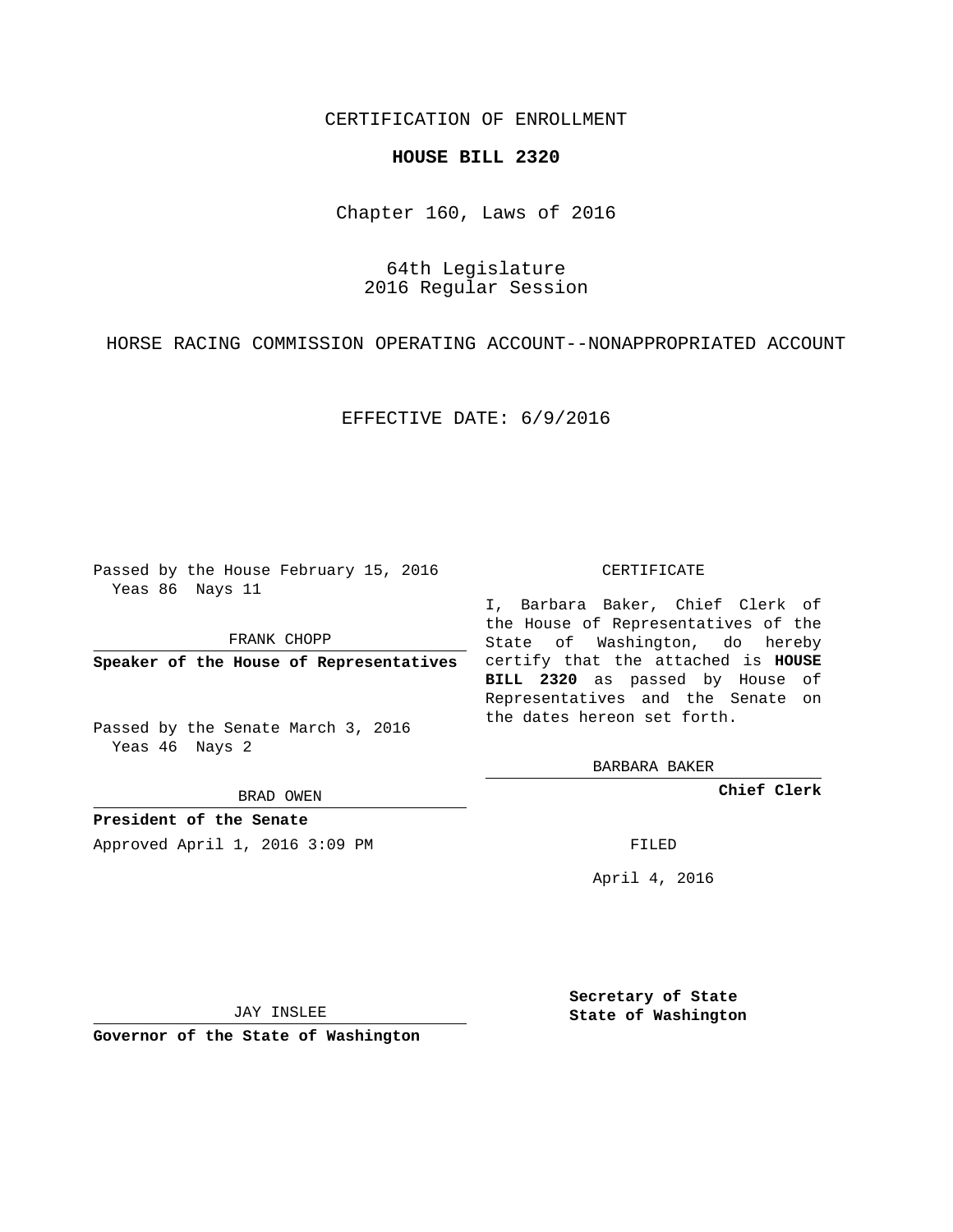# CERTIFICATION OF ENROLLMENT

## **HOUSE BILL 2320**

Chapter 160, Laws of 2016

64th Legislature 2016 Regular Session

HORSE RACING COMMISSION OPERATING ACCOUNT--NONAPPROPRIATED ACCOUNT

### EFFECTIVE DATE: 6/9/2016

Passed by the House February 15, 2016 Yeas 86 Nays 11

FRANK CHOPP

Passed by the Senate March 3, 2016 Yeas 46 Nays 2

BRAD OWEN

**President of the Senate**

Approved April 1, 2016 3:09 PM FILED

#### CERTIFICATE

**Speaker of the House of Representatives** certify that the attached is **HOUSE** I, Barbara Baker, Chief Clerk of the House of Representatives of the State of Washington, do hereby **BILL 2320** as passed by House of Representatives and the Senate on the dates hereon set forth.

BARBARA BAKER

**Chief Clerk**

April 4, 2016

JAY INSLEE

**Governor of the State of Washington**

**Secretary of State State of Washington**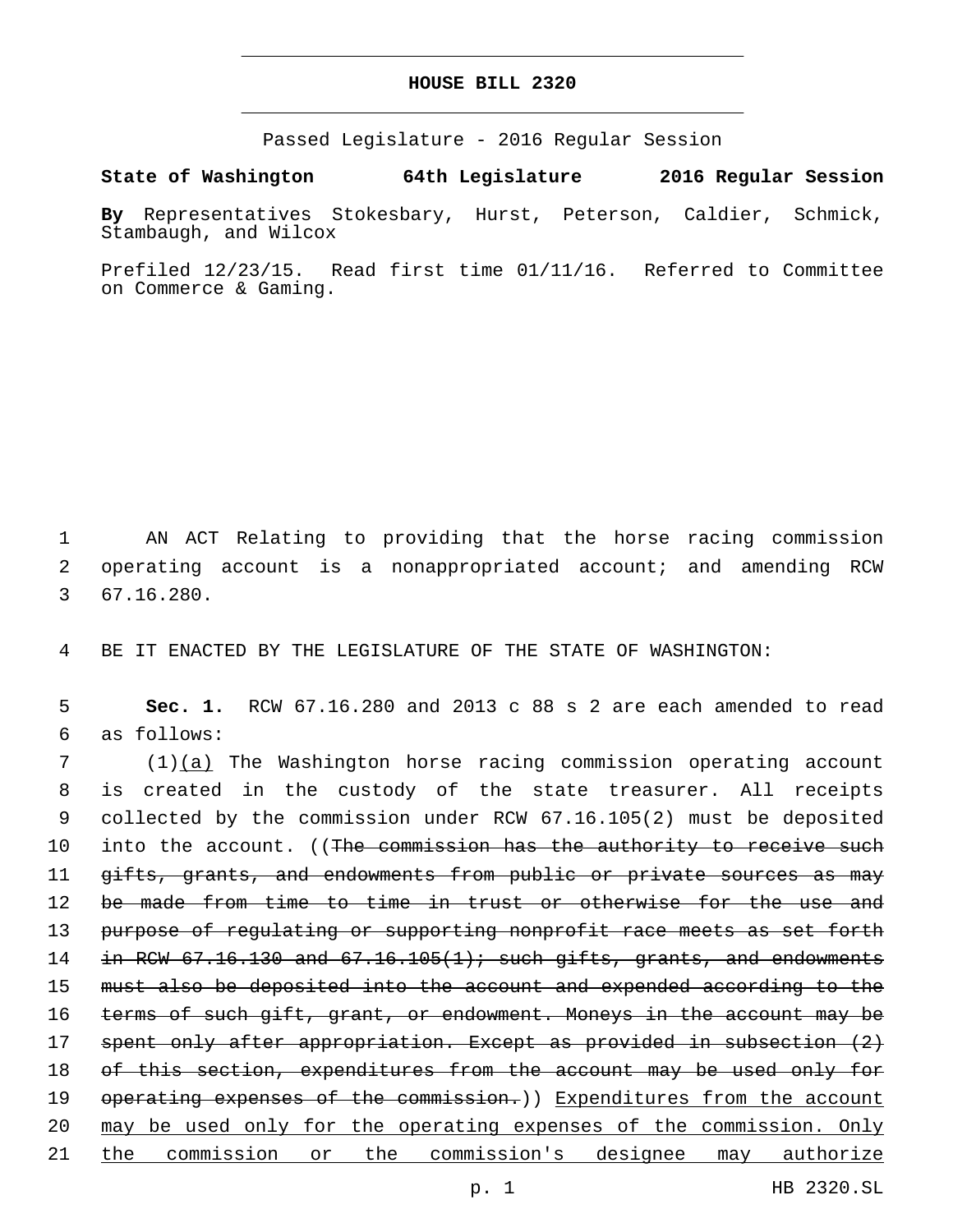# **HOUSE BILL 2320**

Passed Legislature - 2016 Regular Session

**State of Washington 64th Legislature 2016 Regular Session**

**By** Representatives Stokesbary, Hurst, Peterson, Caldier, Schmick, Stambaugh, and Wilcox

Prefiled 12/23/15. Read first time 01/11/16. Referred to Committee on Commerce & Gaming.

1 AN ACT Relating to providing that the horse racing commission 2 operating account is a nonappropriated account; and amending RCW 67.16.280.3

4 BE IT ENACTED BY THE LEGISLATURE OF THE STATE OF WASHINGTON:

5 **Sec. 1.** RCW 67.16.280 and 2013 c 88 s 2 are each amended to read as follows:6

7 (1)(a) The Washington horse racing commission operating account 8 is created in the custody of the state treasurer. All receipts 9 collected by the commission under RCW 67.16.105(2) must be deposited 10 into the account. ((The commission has the authority to receive such 11 gifts, grants, and endowments from public or private sources as may 12 be made from time to time in trust or otherwise for the use and 13 purpose of regulating or supporting nonprofit race meets as set forth 14  $\pm$ n RCW 67.16.130 and 67.16.105(1); such gifts, grants, and endowments 15 must also be deposited into the account and expended according to the 16 terms of such gift, grant, or endowment. Moneys in the account may be 17 spent only after appropriation. Except as provided in subsection (2) 18 of this section, expenditures from the account may be used only for 19 operating expenses of the commission.) Expenditures from the account 20 may be used only for the operating expenses of the commission. Only 21 the commission or the commission's designee may authorize